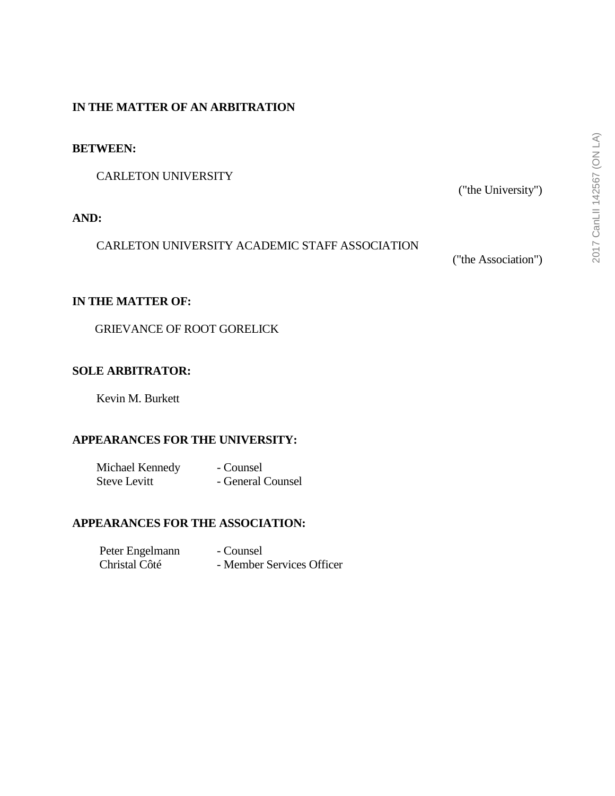## **IN THE MATTER OF AN ARBITRATION**

#### **BETWEEN:**

CARLETON UNIVERSITY

### **AND:**

CARLETON UNIVERSITY ACADEMIC STAFF ASSOCIATION

("the Association")

("the University")

### **IN THE MATTER OF:**

GRIEVANCE OF ROOT GORELICK

### **SOLE ARBITRATOR:**

Kevin M. Burkett

### **APPEARANCES FOR THE UNIVERSITY:**

| Michael Kennedy     | - Counsel         |
|---------------------|-------------------|
| <b>Steve Levitt</b> | - General Counsel |

### **APPEARANCES FOR THE ASSOCIATION:**

| Peter Engelmann | - Counsel                 |
|-----------------|---------------------------|
| Christal Côté   | - Member Services Officer |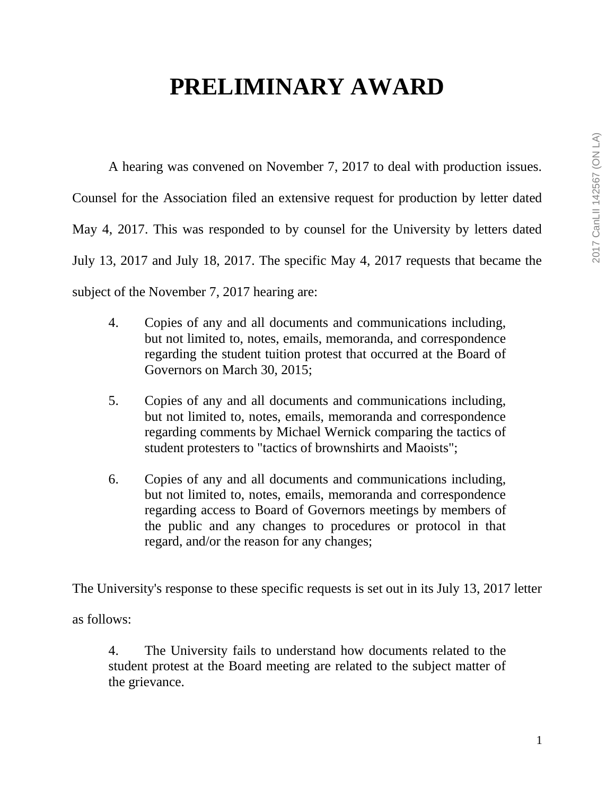# **PRELIMINARY AWARD**

A hearing was convened on November 7, 2017 to deal with production issues. Counsel for the Association filed an extensive request for production by letter dated May 4, 2017. This was responded to by counsel for the University by letters dated July 13, 2017 and July 18, 2017. The specific May 4, 2017 requests that became the subject of the November 7, 2017 hearing are:

- 4. Copies of any and all documents and communications including, but not limited to, notes, emails, memoranda, and correspondence regarding the student tuition protest that occurred at the Board of Governors on March 30, 2015;
- 5. Copies of any and all documents and communications including, but not limited to, notes, emails, memoranda and correspondence regarding comments by Michael Wernick comparing the tactics of student protesters to "tactics of brownshirts and Maoists";
- 6. Copies of any and all documents and communications including, but not limited to, notes, emails, memoranda and correspondence regarding access to Board of Governors meetings by members of the public and any changes to procedures or protocol in that regard, and/or the reason for any changes;

The University's response to these specific requests is set out in its July 13, 2017 letter

as follows:

4. The University fails to understand how documents related to the student protest at the Board meeting are related to the subject matter of the grievance.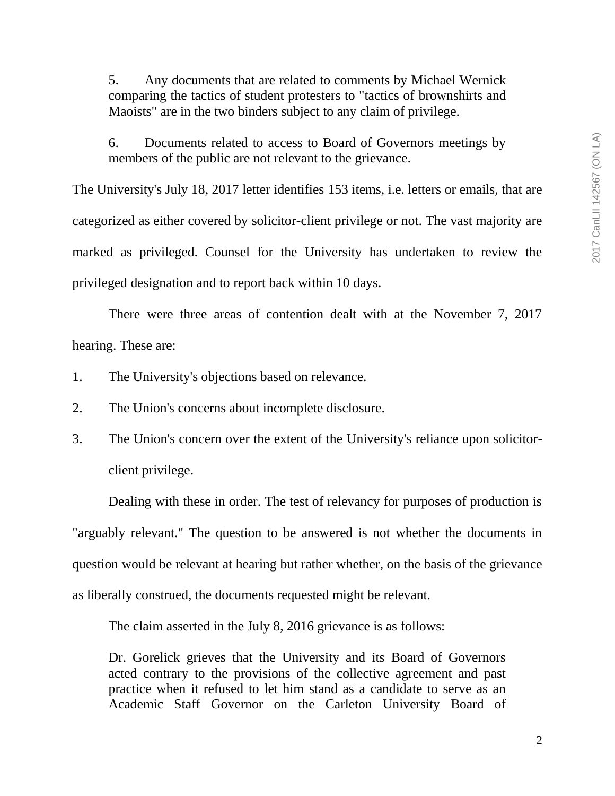5. Any documents that are related to comments by Michael Wernick comparing the tactics of student protesters to "tactics of brownshirts and Maoists" are in the two binders subject to any claim of privilege.

6. Documents related to access to Board of Governors meetings by members of the public are not relevant to the grievance.

The University's July 18, 2017 letter identifies 153 items, i.e. letters or emails, that are categorized as either covered by solicitor-client privilege or not. The vast majority are marked as privileged. Counsel for the University has undertaken to review the privileged designation and to report back within 10 days.

There were three areas of contention dealt with at the November 7, 2017 hearing. These are:

- 1. The University's objections based on relevance.
- 2. The Union's concerns about incomplete disclosure.
- 3. The Union's concern over the extent of the University's reliance upon solicitorclient privilege.

Dealing with these in order. The test of relevancy for purposes of production is "arguably relevant." The question to be answered is not whether the documents in question would be relevant at hearing but rather whether, on the basis of the grievance as liberally construed, the documents requested might be relevant.

The claim asserted in the July 8, 2016 grievance is as follows:

Dr. Gorelick grieves that the University and its Board of Governors acted contrary to the provisions of the collective agreement and past practice when it refused to let him stand as a candidate to serve as an Academic Staff Governor on the Carleton University Board of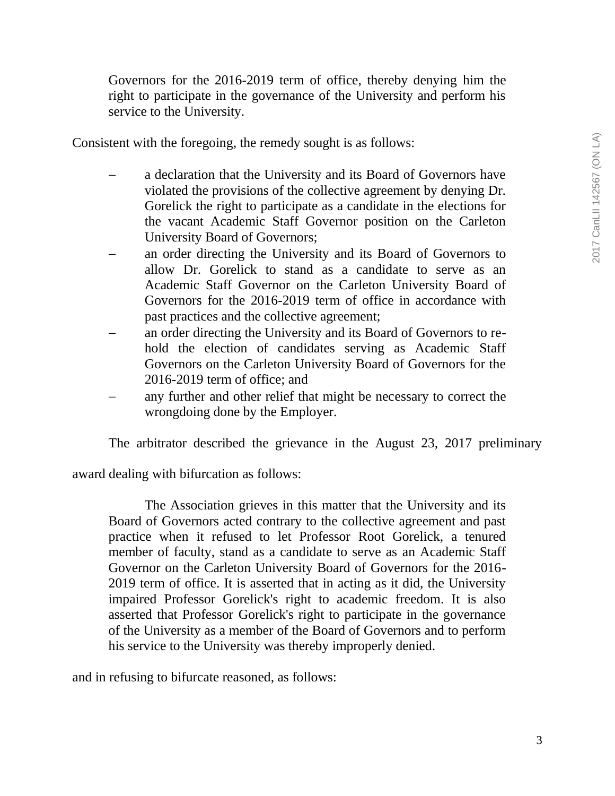Governors for the 2016-2019 term of office, thereby denying him the right to participate in the governance of the University and perform his service to the University.

Consistent with the foregoing, the remedy sought is as follows:

- a declaration that the University and its Board of Governors have violated the provisions of the collective agreement by denying Dr. Gorelick the right to participate as a candidate in the elections for the vacant Academic Staff Governor position on the Carleton University Board of Governors;
- an order directing the University and its Board of Governors to allow Dr. Gorelick to stand as a candidate to serve as an Academic Staff Governor on the Carleton University Board of Governors for the 2016-2019 term of office in accordance with past practices and the collective agreement;
- an order directing the University and its Board of Governors to rehold the election of candidates serving as Academic Staff Governors on the Carleton University Board of Governors for the 2016-2019 term of office; and
- any further and other relief that might be necessary to correct the wrongdoing done by the Employer.

The arbitrator described the grievance in the August 23, 2017 preliminary

award dealing with bifurcation as follows:

The Association grieves in this matter that the University and its Board of Governors acted contrary to the collective agreement and past practice when it refused to let Professor Root Gorelick, a tenured member of faculty, stand as a candidate to serve as an Academic Staff Governor on the Carleton University Board of Governors for the 2016- 2019 term of office. It is asserted that in acting as it did, the University impaired Professor Gorelick's right to academic freedom. It is also asserted that Professor Gorelick's right to participate in the governance of the University as a member of the Board of Governors and to perform his service to the University was thereby improperly denied.

and in refusing to bifurcate reasoned, as follows: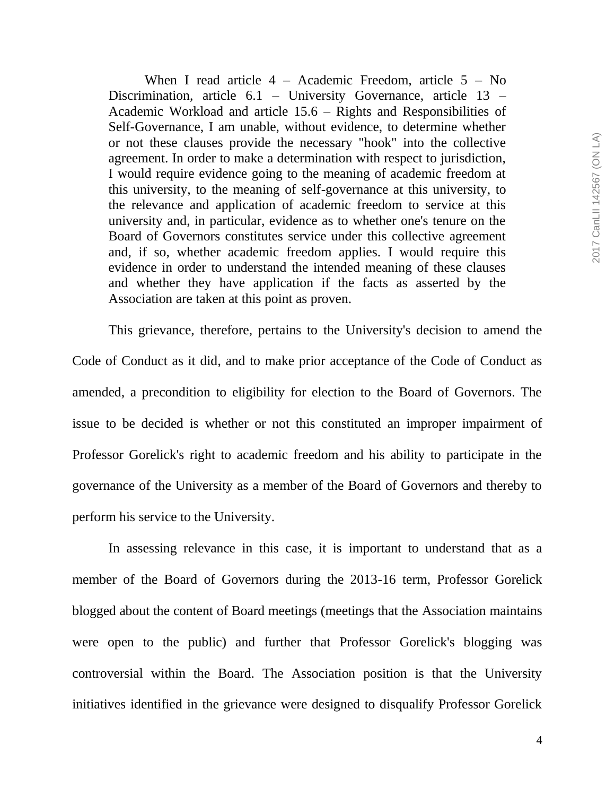When I read article  $4 -$  Academic Freedom, article  $5 -$  No Discrimination, article 6.1 – University Governance, article 13 – Academic Workload and article 15.6 – Rights and Responsibilities of Self-Governance, I am unable, without evidence, to determine whether or not these clauses provide the necessary "hook" into the collective agreement. In order to make a determination with respect to jurisdiction, I would require evidence going to the meaning of academic freedom at this university, to the meaning of self-governance at this university, to the relevance and application of academic freedom to service at this university and, in particular, evidence as to whether one's tenure on the Board of Governors constitutes service under this collective agreement and, if so, whether academic freedom applies. I would require this evidence in order to understand the intended meaning of these clauses and whether they have application if the facts as asserted by the Association are taken at this point as proven.

This grievance, therefore, pertains to the University's decision to amend the Code of Conduct as it did, and to make prior acceptance of the Code of Conduct as amended, a precondition to eligibility for election to the Board of Governors. The issue to be decided is whether or not this constituted an improper impairment of Professor Gorelick's right to academic freedom and his ability to participate in the governance of the University as a member of the Board of Governors and thereby to perform his service to the University.

In assessing relevance in this case, it is important to understand that as a member of the Board of Governors during the 2013-16 term, Professor Gorelick blogged about the content of Board meetings (meetings that the Association maintains were open to the public) and further that Professor Gorelick's blogging was controversial within the Board. The Association position is that the University initiatives identified in the grievance were designed to disqualify Professor Gorelick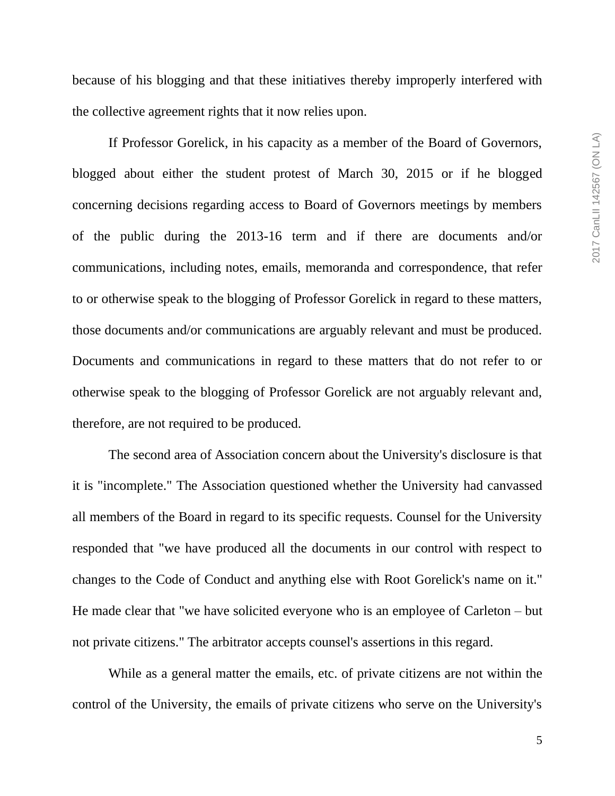because of his blogging and that these initiatives thereby improperly interfered with the collective agreement rights that it now relies upon.

If Professor Gorelick, in his capacity as a member of the Board of Governors, blogged about either the student protest of March 30, 2015 or if he blogged concerning decisions regarding access to Board of Governors meetings by members of the public during the 2013-16 term and if there are documents and/or communications, including notes, emails, memoranda and correspondence, that refer to or otherwise speak to the blogging of Professor Gorelick in regard to these matters, those documents and/or communications are arguably relevant and must be produced. Documents and communications in regard to these matters that do not refer to or otherwise speak to the blogging of Professor Gorelick are not arguably relevant and, therefore, are not required to be produced.

The second area of Association concern about the University's disclosure is that it is "incomplete." The Association questioned whether the University had canvassed all members of the Board in regard to its specific requests. Counsel for the University responded that "we have produced all the documents in our control with respect to changes to the Code of Conduct and anything else with Root Gorelick's name on it." He made clear that "we have solicited everyone who is an employee of Carleton – but not private citizens." The arbitrator accepts counsel's assertions in this regard.

While as a general matter the emails, etc. of private citizens are not within the control of the University, the emails of private citizens who serve on the University's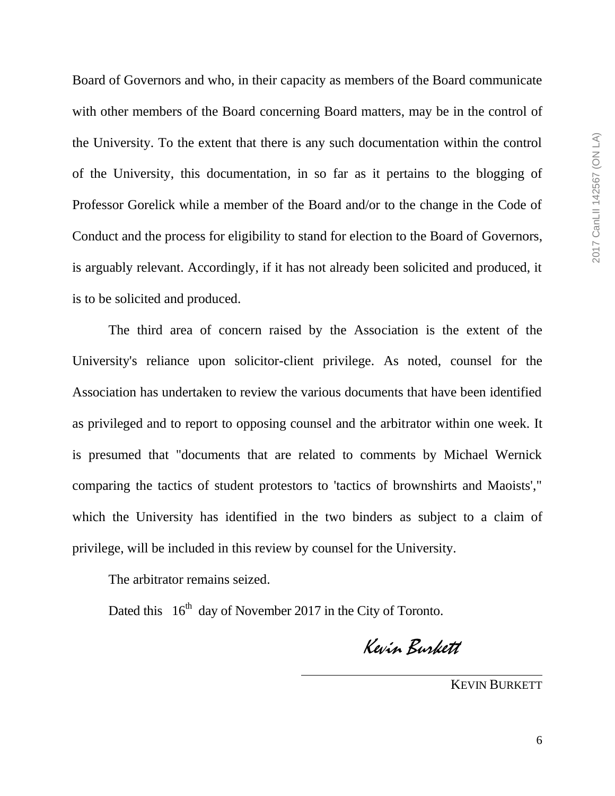Board of Governors and who, in their capacity as members of the Board communicate with other members of the Board concerning Board matters, may be in the control of the University. To the extent that there is any such documentation within the control of the University, this documentation, in so far as it pertains to the blogging of Professor Gorelick while a member of the Board and/or to the change in the Code of Conduct and the process for eligibility to stand for election to the Board of Governors, is arguably relevant. Accordingly, if it has not already been solicited and produced, it is to be solicited and produced.

The third area of concern raised by the Association is the extent of the University's reliance upon solicitor-client privilege. As noted, counsel for the Association has undertaken to review the various documents that have been identified as privileged and to report to opposing counsel and the arbitrator within one week. It is presumed that "documents that are related to comments by Michael Wernick comparing the tactics of student protestors to 'tactics of brownshirts and Maoists'," which the University has identified in the two binders as subject to a claim of privilege, will be included in this review by counsel for the University.

The arbitrator remains seized.

Dated this  $16<sup>th</sup>$  day of November 2017 in the City of Toronto.

Kevin Burkett

KEVIN BURKETT